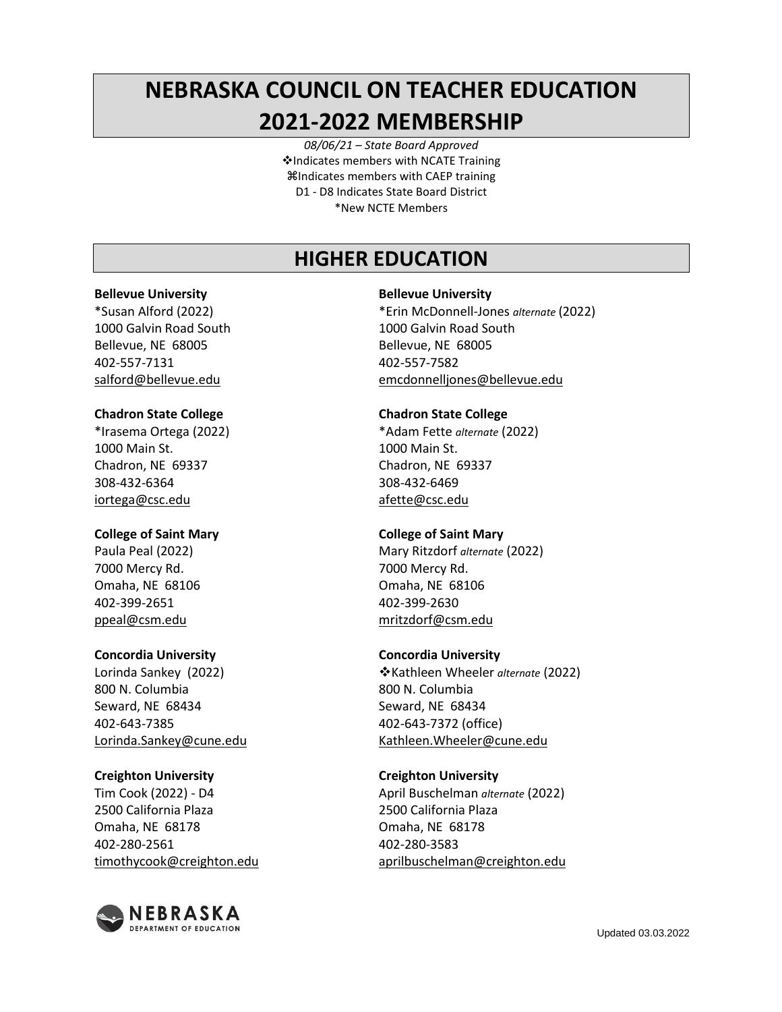# **NEBRASKA COUNCIL ON TEACHER EDUCATION 2021-2022 MEMBERSHIP**

*08/06/21 – State Board Approved* ❖Indicates members with NCATE Training Indicates members with CAEP training D1 - D8 Indicates State Board District \*New NCTE Members

# **HIGHER EDUCATION**

### **Bellevue University**

\*Susan Alford (2022) 1000 Galvin Road South Bellevue, NE 68005 402-557-7131 salford@bellevue.edu

### **Chadron State College**

\*Irasema Ortega (2022) 1000 Main St. Chadron, NE 69337 308-432-6364 iortega@csc.edu

### **College of Saint Mary**

Paula Peal (2022) 7000 Mercy Rd. Omaha, NE 68106 402-399-2651 ppeal@csm.edu

### **Concordia University**

Lorinda Sankey (2022) 800 N. Columbia Seward, NE 68434 402-643-7385 Lorinda.Sankey@cune.edu

### **Creighton University**

Tim Cook (2022) - D4 2500 California Plaza Omaha, NE 68178 402-280-2561 timothycook@creighton.edu



### **Bellevue University**

\*Erin McDonnell-Jones *alternate* (2022) 1000 Galvin Road South Bellevue, NE 68005 402-557-7582 emcdonnelljones@bellevue.edu

### **Chadron State College**

\*Adam Fette *alternate* (2022) 1000 Main St. Chadron, NE 69337 308-432-6469 afette@csc.edu

### **College of Saint Mary**

Mary Ritzdorf *alternate* (2022) 7000 Mercy Rd. Omaha, NE 68106 402-399-2630 [mritzdorf@csm.edu](mailto:mritzdorf@csm.edu)

### **Concordia University**

❖Kathleen Wheeler *alternate* (2022) 800 N. Columbia Seward, NE 68434 402-643-7372 (office) Kathleen.Wheeler@cune.edu

### **Creighton University**

April Buschelman *alternate* (2022) 2500 California Plaza Omaha, NE 68178 402-280-3583 [aprilbuschelman@creighton.edu](mailto:aprilbuschelman@creighton.edu)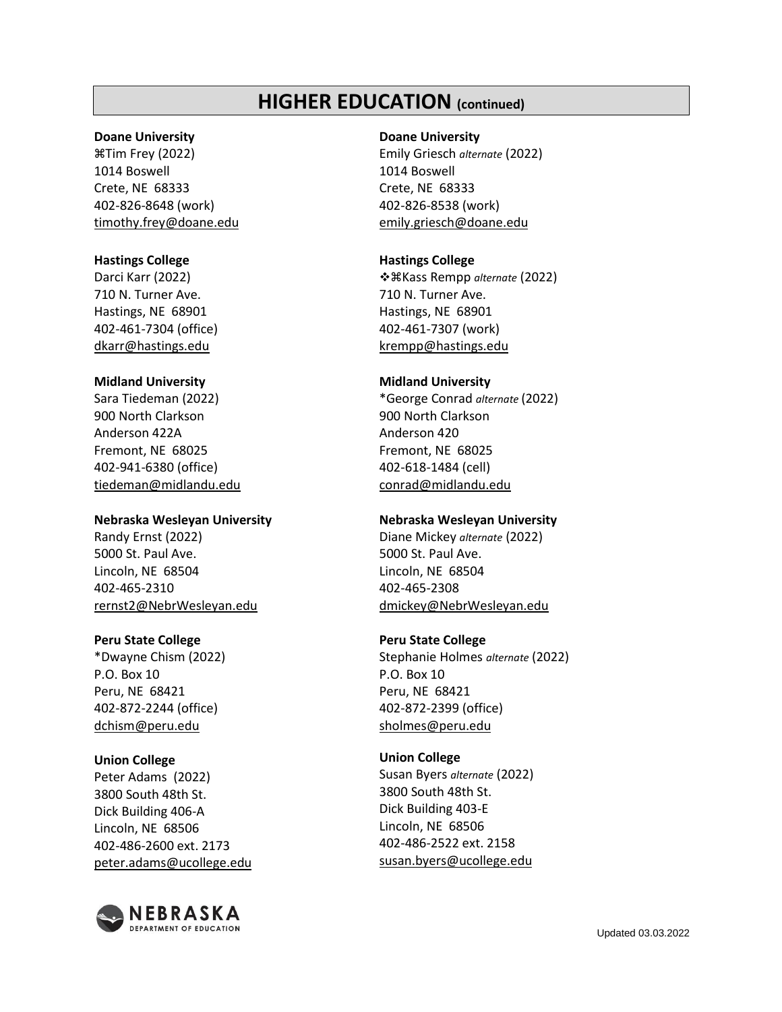### **HIGHER EDUCATION (continued)**

### **Doane University**

Tim Frey (2022) 1014 Boswell Crete, NE 68333 402-826-8648 (work) timothy.frey@doane.edu

### **Hastings College**

Darci Karr (2022) 710 N. Turner Ave. Hastings, NE 68901 402-461-7304 (office) dkarr@hastings.edu

### **Midland University**

Sara Tiedeman (2022) 900 North Clarkson Anderson 422A Fremont, NE 68025 402-941-6380 (office) [tiedeman@midlandu.edu](mailto:tiedeman@midlandu.edu)

#### **Nebraska Wesleyan University**

Randy Ernst (2022) 5000 St. Paul Ave. Lincoln, NE 68504 402-465-2310 [rernst2@NebrWesleyan.edu](mailto:rernst2@NebrWesleyan.edu)

### **Peru State College**

\*Dwayne Chism (2022) P.O. Box 10 Peru, NE 68421 402-872-2244 (office) [dchism@peru.edu](mailto:dchism@peru.edu)

### **Union College**

Peter Adams (2022) 3800 South 48th St. Dick Building 406-A Lincoln, NE 68506 402-486-2600 ext. 2173 peter.adams@ucollege.edu



### **Doane University**

Emily Griesch *alternate* (2022) 1014 Boswell Crete, NE 68333 402-826-8538 (work) emily.griesch@doane.edu

### **Hastings College**

❖Kass Rempp *alternate* (2022) 710 N. Turner Ave. Hastings, NE 68901 402-461-7307 (work) krempp@hastings.edu

### **Midland University**

\*George Conrad *alternate* (2022) 900 North Clarkson Anderson 420 Fremont, NE 68025 402-618-1484 (cell) [conrad@midlandu.edu](mailto:conrad@midlandu.edu)

### **Nebraska Wesleyan University**

Diane Mickey *alternate* (2022) 5000 St. Paul Ave. Lincoln, NE 68504 402-465-2308 [dmickey@NebrWesleyan.edu](mailto:dmickey@NebrWesleyan.edu)

### **Peru State College**

Stephanie Holmes *alternate* (2022) P.O. Box 10 Peru, NE 68421 402-872-2399 (office) [sholmes@peru.edu](mailto:sholmes@peru.edu)

### **Union College**

Susan Byers *alternate* (2022) 3800 South 48th St. Dick Building 403-E Lincoln, NE 68506 402-486-2522 ext. 2158 [susan.byers@ucollege.edu](mailto:susan.byers@ucollege.edu)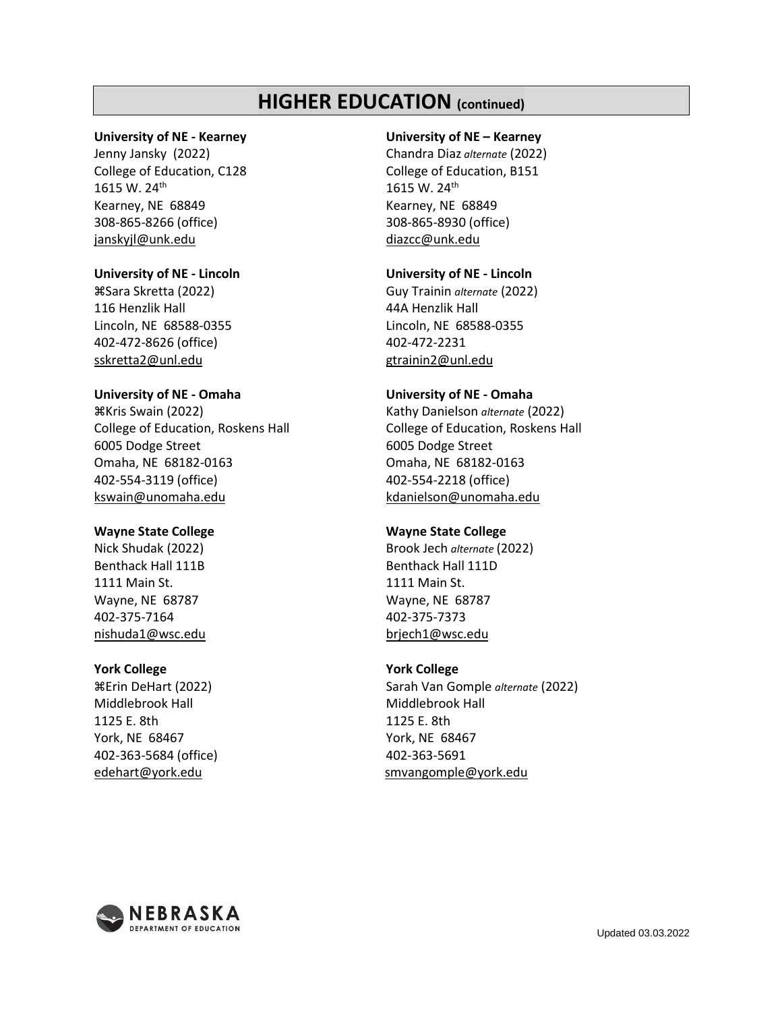### **HIGHER EDUCATION (continued)**

### **University of NE - Kearney**

Jenny Jansky (2022) College of Education, C128 1615 W. 24th Kearney, NE 68849 308-865-8266 (office) janskyjl@unk.edu

### **University of NE - Lincoln**

Sara Skretta (2022) 116 Henzlik Hall Lincoln, NE 68588-0355 402-472-8626 (office) sskretta2@unl.edu

### **University of NE - Omaha**

Kris Swain (2022) College of Education, Roskens Hall 6005 Dodge Street Omaha, NE 68182-0163 402-554-3119 (office) [kswain@unomaha.edu](mailto:kswain@unomaha.edu)

### **Wayne State College**

Nick Shudak (2022) Benthack Hall 111B 1111 Main St. Wayne, NE 68787 402-375-7164 nishuda1@wsc.edu

### **York College**

Erin DeHart (2022) Middlebrook Hall 1125 E. 8th York, NE 68467 402-363-5684 (office) edehart@york.edu

### **University of NE – Kearney**

Chandra Diaz *alternate* (2022) College of Education, B151 1615 W. 24th Kearney, NE 68849 308-865-8930 (office) diazcc@unk.edu

### **University of NE - Lincoln**

Guy Trainin *alternate* (2022) 44A Henzlik Hall Lincoln, NE 68588-0355 402-472-2231 gtrainin2@unl.edu

### **University of NE - Omaha**

Kathy Danielson *alternate* (2022) College of Education, Roskens Hall 6005 Dodge Street Omaha, NE 68182-0163 402-554-2218 (office) kdanielson@unomaha.edu

### **Wayne State College**

Brook Jech *alternate* (2022) Benthack Hall 111D 1111 Main St. Wayne, NE 68787 402-375-7373 brjech1@wsc.edu

### **York College**

Sarah Van Gomple *alternate* (2022) Middlebrook Hall 1125 E. 8th York, NE 68467 402-363-5691 [smvangomple@york.edu](mailto:smvangomple@york.edu)

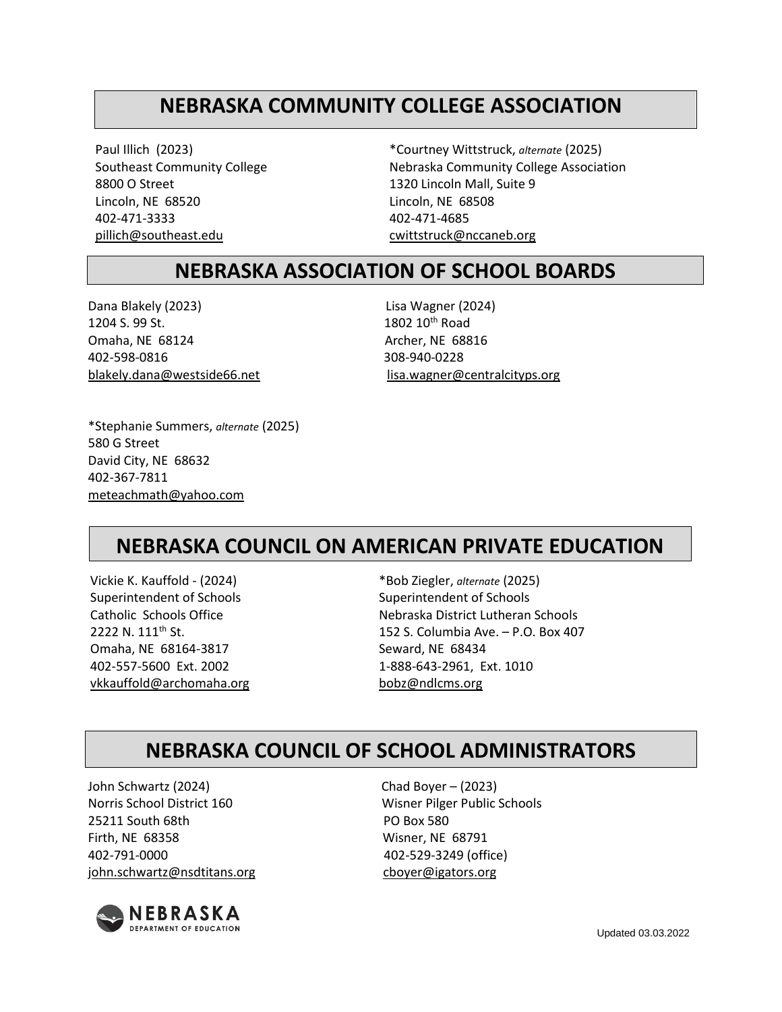# **NEBRASKA COMMUNITY COLLEGE ASSOCIATION**

Paul Illich (2023) Southeast Community College 8800 O Street Lincoln, NE 68520 402-471-3333 [pillich@southeast.edu](mailto:pillich@southeast.edu)

\*Courtney Wittstruck, *alternate* (2025) Nebraska Community College Association 1320 Lincoln Mall, Suite 9 Lincoln, NE 68508 402-471-4685 [cwittstruck@nccaneb.org](mailto:cwittstruck@nccaneb.org)

### **NEBRASKA ASSOCIATION OF SCHOOL BOARDS**

Dana Blakely (2023) Lisa Wagner (2024) 1204 S. 99 St. 1802 10<sup>th</sup> Road Omaha, NE 68124 Archer, NE 68816 402-598-0816 308-940-0228

blakely.dana@westside66.net lisa.wagner@centralcityps.org

\*Stephanie Summers, *alternate* (2025) 580 G Street David City, NE 68632 402-367-7811 [meteachmath@yahoo.com](mailto:meteachmath@yahoo.com)

# **NEBRASKA COUNCIL ON AMERICAN PRIVATE EDUCATION**

Vickie K. Kauffold - (2024) Superintendent of Schools Catholic Schools Office 2222 N. 111<sup>th</sup> St. Omaha, NE 68164-3817 402-557-5600 Ext. 2002 vkkauffold@archomaha.org

\*Bob Ziegler, *alternate* (2025) Superintendent of Schools Nebraska District Lutheran Schools 152 S. Columbia Ave. – P.O. Box 407 Seward, NE 68434 1-888-643-2961, Ext. 1010 [bobz@ndlcms.org](mailto:bobz@ndlcms.org)

### **NEBRASKA COUNCIL OF SCHOOL ADMINISTRATORS**

John Schwartz (2024) Chad Boyer – (2023) Norris School District 160 Wisner Pilger Public Schools 25211 South 68th PO Box 580 Firth, NE 68358 Wisner, NE 68791 402-791-0000 402-529-3249 (office) john.schwartz@nsdtitans.org cboyer@igators.org



Updated 03.03.2022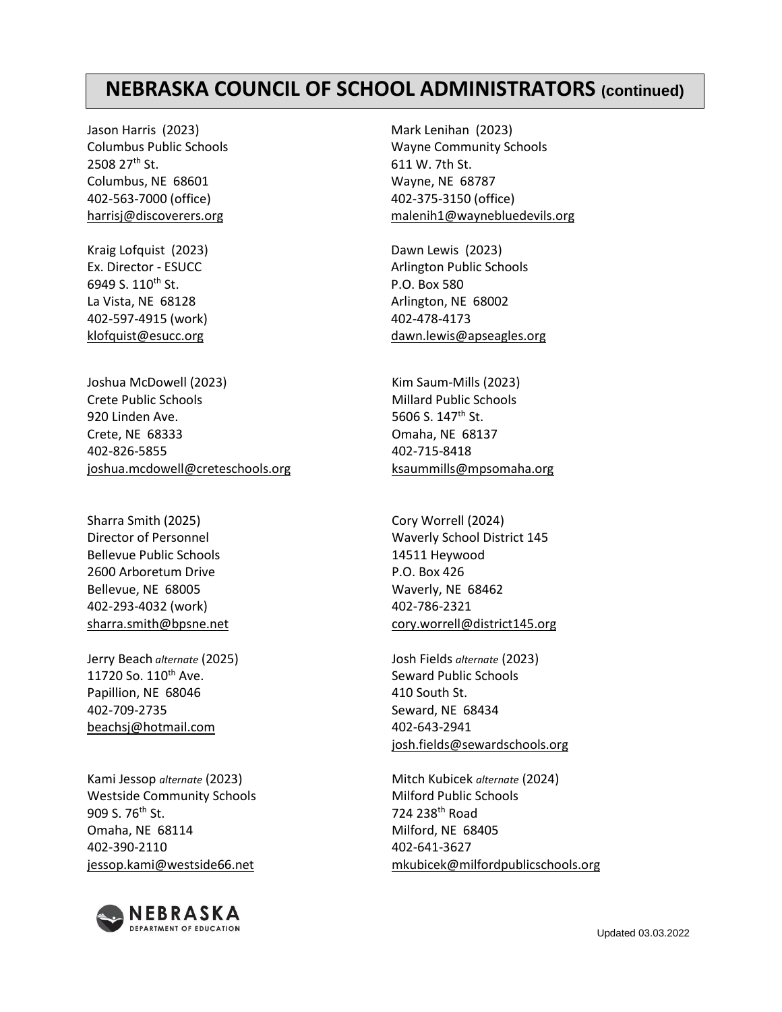### **NEBRASKA COUNCIL OF SCHOOL ADMINISTRATORS (continued)**

Jason Harris (2023) Columbus Public Schools 2508 27th St. Columbus, NE 68601 402-563-7000 (office) [harrisj@discoverers.org](mailto:harrisj@discoverers.org)

Kraig Lofquist (2023) Ex. Director - ESUCC 6949 S. 110<sup>th</sup> St. La Vista, NE 68128 402-597-4915 (work) [klofquist@esucc.org](mailto:klofquist@esucc.org)

Joshua McDowell (2023) Crete Public Schools 920 Linden Ave. Crete, NE 68333 402-826-5855 [joshua.mcdowell@creteschools.org](mailto:joshua.mcdowell@creteschools.org)

Sharra Smith (2025) Director of Personnel Bellevue Public Schools 2600 Arboretum Drive Bellevue, NE 68005 402-293-4032 (work) sharra.smith@bpsne.net

Jerry Beach *alternate* (2025) 11720 So. 110<sup>th</sup> Ave. Papillion, NE 68046 402-709-2735 beachsj@hotmail.com

Kami Jessop *alternate* (2023) Westside Community Schools 909 S. 76<sup>th</sup> St. Omaha, NE 68114 402-390-2110 jessop.kami@westside66.net



Mark Lenihan (2023) Wayne Community Schools 611 W. 7th St. Wayne, NE 68787 402-375-3150 (office) [malenih1@waynebluedevils.org](mailto:malenih1@waynebluedevils.org)

Dawn Lewis (2023) Arlington Public Schools P.O. Box 580 Arlington, NE 68002 402-478-4173 dawn.lewis@apseagles.org

Kim Saum-Mills (2023) Millard Public Schools 5606 S. 147<sup>th</sup> St. Omaha, NE 68137 402-715-8418 [ksaummills@mpsomaha.org](mailto:ksaummills@mpsomaha.org)

Cory Worrell (2024) Waverly School District 145 14511 Heywood P.O. Box 426 Waverly, NE 68462 402-786-2321 [cory.worrell@district145.org](mailto:cory.worrell@district145.org)

Josh Fields *alternate* (2023) Seward Public Schools 410 South St. Seward, NE 68434 402-643-2941 josh.fields@sewardschools.org

Mitch Kubicek *alternate* (2024) Milford Public Schools 724 238th Road Milford, NE 68405 402-641-3627 [mkubicek@milfordpublicschools.org](mailto:mkubicek@milfordpublicschools.org)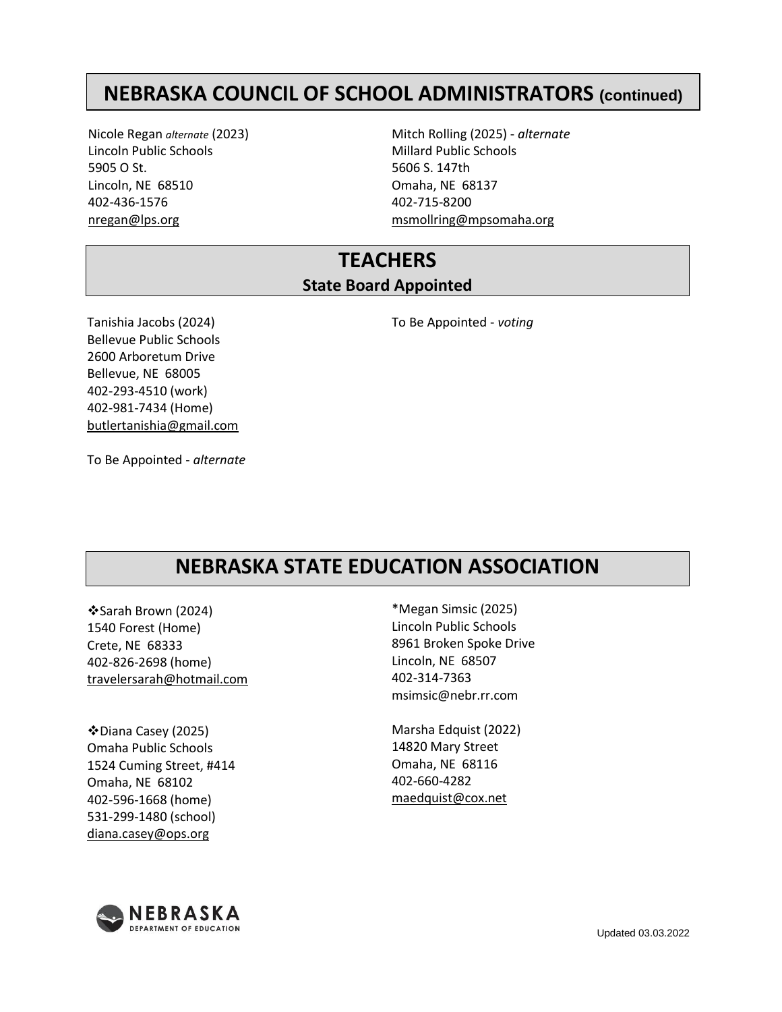# **NEBRASKA COUNCIL OF SCHOOL ADMINISTRATORS (continued)**

Nicole Regan *alternate* (2023) Lincoln Public Schools 5905 O St. Lincoln, NE 68510 402-436-1576 [nregan@lps.org](mailto:nregan@lps.org)

Mitch Rolling (2025) - *alternate* Millard Public Schools 5606 S. 147th Omaha, NE 68137 402-715-8200 [msmollring@mpsomaha.org](mailto:msmollring@mpsomaha.org)

### **TEACHERS State Board Appointed**

Tanishia Jacobs (2024) Bellevue Public Schools 2600 Arboretum Drive Bellevue, NE 68005 402-293-4510 (work) 402-981-7434 (Home) butlertanishia@gmail.com To Be Appointed - *voting*

To Be Appointed - *alternate*

## **NEBRASKA STATE EDUCATION ASSOCIATION**

❖Sarah Brown (2024) 1540 Forest (Home) Crete, NE 68333 402-826-2698 (home) travelersarah@hotmail.com

❖Diana Casey (2025) Omaha Public Schools 1524 Cuming Street, #414 Omaha, NE 68102 402-596-1668 (home) 531-299-1480 (school) [diana.casey@ops.org](mailto:diana.casey@ops.org)

\*Megan Simsic (2025) Lincoln Public Schools 8961 Broken Spoke Drive Lincoln, NE 68507 402-314-7363 msimsic@nebr.rr.com

Marsha Edquist (2022) 14820 Mary Street Omaha, NE 68116 402-660-4282 [maedquist@cox.net](mailto:maedquist@cox.net)

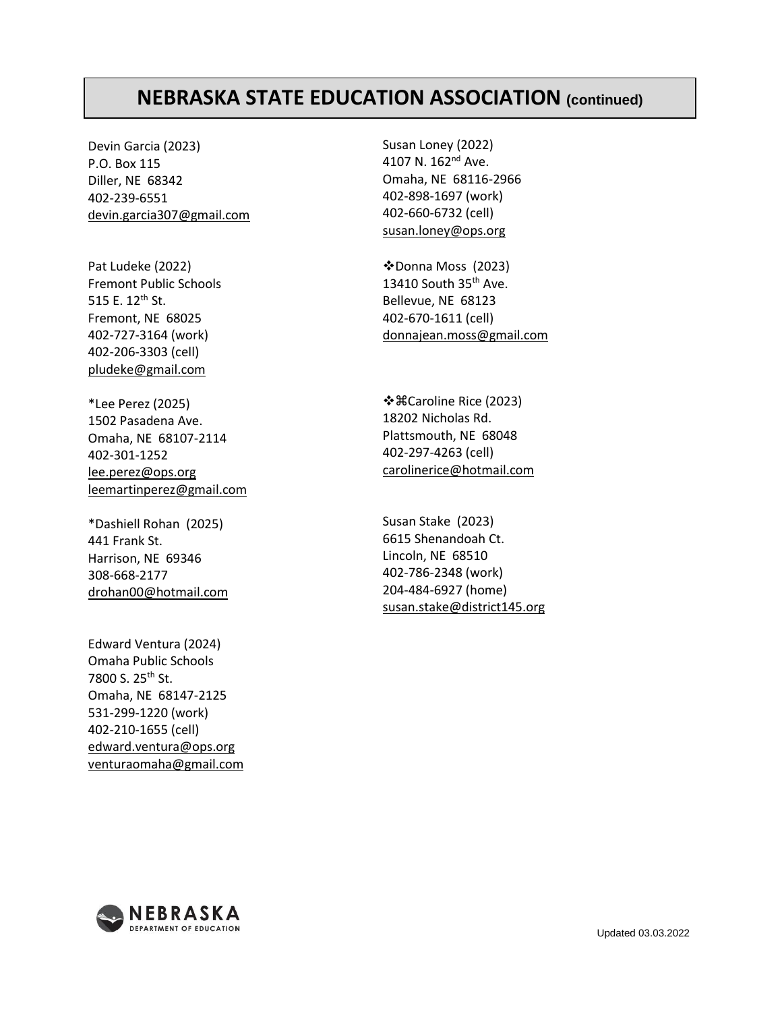## **NEBRASKA STATE EDUCATION ASSOCIATION (continued)**

Devin Garcia (2023) P.O. Box 115 Diller, NE 68342 402-239-6551 [d](mailto:devin.garcia307@gmail.com)[evin.garcia307@gmail.com](mailto:devin.garcia307@gmail.com)

Pat Ludeke (2022) Fremont Public Schools 515 E. 12<sup>th</sup> St. Fremont, NE 68025 402-727-3164 (work) 402-206-3303 (cell) [pludeke@gmail.com](mailto:pludeke@gmail.com)

\*Lee Perez (2025) 1502 Pasadena Ave. Omaha, NE 68107-2114 402-301-1252 [lee.perez@ops.org](mailto:lee.perez@ops.org) [leemartinperez@gmail.com](mailto:leemartinperez@gmail.com)

\*Dashiell Rohan (2025) 441 Frank St. Harrison, NE 69346 308-668-2177 [drohan00@hotmail.com](mailto:drohan00@hotmail.com)

Edward Ventura (2024) Omaha Public Schools 7800 S. 25th St. Omaha, NE 68147-2125 531-299-1220 (work) 402-210-1655 (cell) [edward.ventura@ops.org](mailto:edward.ventura@ops.org) [venturaomaha@gmail.com](mailto:venturaomaha@gmail.com)

Susan Loney (2022) 4107 N. 162<sup>nd</sup> Ave. Omaha, NE 68116-2966 402-898-1697 (work) 402-660-6732 (cell) [susan.loney@ops.org](mailto:susan.loney@ops.org)

❖Donna Moss (2023) 13410 South 35th Ave. Bellevue, NE 68123 402-670-1611 (cell) [donnajean.moss@gmail.com](mailto:donnajean.moss@gmail.com)

❖Caroline Rice (2023) 18202 Nicholas Rd. Plattsmouth, NE 68048 402-297-4263 (cell) [carolinerice@hotmail.com](mailto:carolinerice@hotmail.com)

Susan Stake (2023) 6615 Shenandoah Ct. Lincoln, NE 68510 402-786-2348 (work) 204-484-6927 (home) [susan.stake@district145.org](mailto:susan.stake@district145.org)